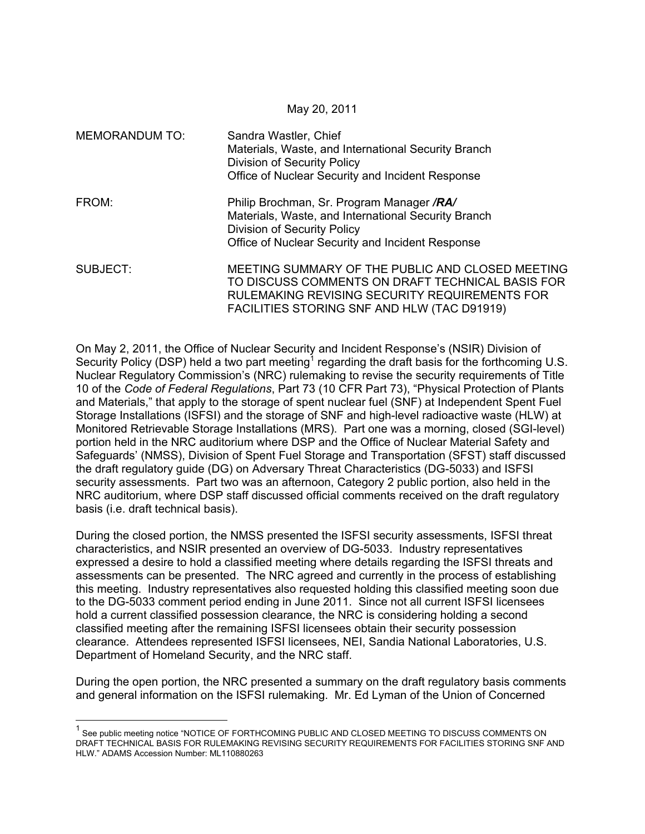May 20, 2011

| <b>MEMORANDUM TO:</b> | Sandra Wastler, Chief<br>Materials, Waste, and International Security Branch<br>Division of Security Policy<br>Office of Nuclear Security and Incident Response                                      |
|-----------------------|------------------------------------------------------------------------------------------------------------------------------------------------------------------------------------------------------|
| FROM:                 | Philip Brochman, Sr. Program Manager /RA/<br>Materials, Waste, and International Security Branch<br>Division of Security Policy<br>Office of Nuclear Security and Incident Response                  |
| SUBJECT:              | MEETING SUMMARY OF THE PUBLIC AND CLOSED MEETING<br>TO DISCUSS COMMENTS ON DRAFT TECHNICAL BASIS FOR<br>RULEMAKING REVISING SECURITY REQUIREMENTS FOR<br>FACILITIES STORING SNF AND HLW (TAC D91919) |

On May 2, 2011, the Office of Nuclear Security and Incident Response's (NSIR) Division of Security Policy (DSP) held a two part meeting<sup>1</sup> regarding the draft basis for the forthcoming U.S. Nuclear Regulatory Commission's (NRC) rulemaking to revise the security requirements of Title 10 of the *Code of Federal Regulations*, Part 73 (10 CFR Part 73), "Physical Protection of Plants and Materials," that apply to the storage of spent nuclear fuel (SNF) at Independent Spent Fuel Storage Installations (ISFSI) and the storage of SNF and high-level radioactive waste (HLW) at Monitored Retrievable Storage Installations (MRS). Part one was a morning, closed (SGI-level) portion held in the NRC auditorium where DSP and the Office of Nuclear Material Safety and Safeguards' (NMSS), Division of Spent Fuel Storage and Transportation (SFST) staff discussed the draft regulatory guide (DG) on Adversary Threat Characteristics (DG-5033) and ISFSI security assessments. Part two was an afternoon, Category 2 public portion, also held in the NRC auditorium, where DSP staff discussed official comments received on the draft regulatory basis (i.e. draft technical basis).

During the closed portion, the NMSS presented the ISFSI security assessments, ISFSI threat characteristics, and NSIR presented an overview of DG-5033. Industry representatives expressed a desire to hold a classified meeting where details regarding the ISFSI threats and assessments can be presented. The NRC agreed and currently in the process of establishing this meeting. Industry representatives also requested holding this classified meeting soon due to the DG-5033 comment period ending in June 2011. Since not all current ISFSI licensees hold a current classified possession clearance, the NRC is considering holding a second classified meeting after the remaining ISFSI licensees obtain their security possession clearance. Attendees represented ISFSI licensees, NEI, Sandia National Laboratories, U.S. Department of Homeland Security, and the NRC staff.

During the open portion, the NRC presented a summary on the draft regulatory basis comments and general information on the ISFSI rulemaking. Mr. Ed Lyman of the Union of Concerned

-

<sup>&</sup>lt;sup>1</sup> See public meeting notice "NOTICE OF FORTHCOMING PUBLIC AND CLOSED MEETING TO DISCUSS COMMENTS ON DRAFT TECHNICAL BASIS FOR RULEMAKING REVISING SECURITY REQUIREMENTS FOR FACILITIES STORING SNF AND HLW." ADAMS Accession Number: ML110880263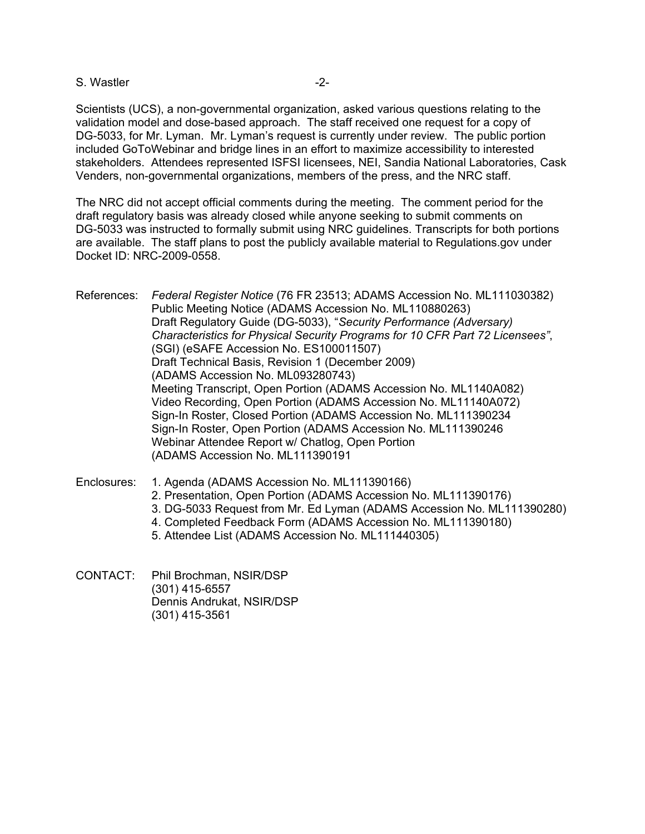## S. Wastler  $-2$ -

Scientists (UCS), a non-governmental organization, asked various questions relating to the validation model and dose-based approach. The staff received one request for a copy of DG-5033, for Mr. Lyman. Mr. Lyman's request is currently under review. The public portion included GoToWebinar and bridge lines in an effort to maximize accessibility to interested stakeholders. Attendees represented ISFSI licensees, NEI, Sandia National Laboratories, Cask Venders, non-governmental organizations, members of the press, and the NRC staff.

The NRC did not accept official comments during the meeting. The comment period for the draft regulatory basis was already closed while anyone seeking to submit comments on DG-5033 was instructed to formally submit using NRC guidelines. Transcripts for both portions are available. The staff plans to post the publicly available material to Regulations.gov under Docket ID: NRC-2009-0558.

- References: *Federal Register Notice* (76 FR 23513; ADAMS Accession No. ML111030382) Public Meeting Notice (ADAMS Accession No. ML110880263) Draft Regulatory Guide (DG-5033), "*Security Performance (Adversary) Characteristics for Physical Security Programs for 10 CFR Part 72 Licensees"*, (SGI) (eSAFE Accession No. ES100011507) Draft Technical Basis, Revision 1 (December 2009) (ADAMS Accession No. ML093280743) Meeting Transcript, Open Portion (ADAMS Accession No. ML1140A082) Video Recording, Open Portion (ADAMS Accession No. ML11140A072) Sign-In Roster, Closed Portion (ADAMS Accession No. ML111390234 Sign-In Roster, Open Portion (ADAMS Accession No. ML111390246 Webinar Attendee Report w/ Chatlog, Open Portion (ADAMS Accession No. ML111390191
- Enclosures: 1. Agenda (ADAMS Accession No. ML111390166) 2. Presentation, Open Portion (ADAMS Accession No. ML111390176) 3. DG-5033 Request from Mr. Ed Lyman (ADAMS Accession No. ML111390280) 4. Completed Feedback Form (ADAMS Accession No. ML111390180) 5. Attendee List (ADAMS Accession No. ML111440305)
- CONTACT: Phil Brochman, NSIR/DSP (301) 415-6557 Dennis Andrukat, NSIR/DSP (301) 415-3561